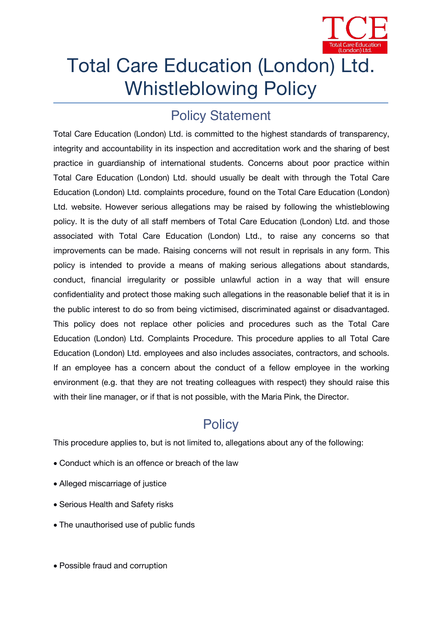

# Total Care Education (London) Ltd. Whistleblowing Policy

## **Policy Statement**

Total Care Education (London) Ltd. is committed to the highest standards of transparency, integrity and accountability in its inspection and accreditation work and the sharing of best practice in guardianship of international students. Concerns about poor practice within Total Care Education (London) Ltd. should usually be dealt with through the Total Care Education (London) Ltd. complaints procedure, found on the Total Care Education (London) Ltd. website. However serious allegations may be raised by following the whistleblowing policy. It is the duty of all staff members of Total Care Education (London) Ltd. and those associated with Total Care Education (London) Ltd., to raise any concerns so that improvements can be made. Raising concerns will not result in reprisals in any form. This policy is intended to provide a means of making serious allegations about standards, conduct, financial irregularity or possible unlawful action in a way that will ensure confidentiality and protect those making such allegations in the reasonable belief that it is in the public interest to do so from being victimised, discriminated against or disadvantaged. This policy does not replace other policies and procedures such as the Total Care Education (London) Ltd. Complaints Procedure. This procedure applies to all Total Care Education (London) Ltd. employees and also includes associates, contractors, and schools. If an employee has a concern about the conduct of a fellow employee in the working environment (e.g. that they are not treating colleagues with respect) they should raise this with their line manager, or if that is not possible, with the *Maria Pink, the Director.*

# **Policy**

This procedure applies to, but is not limited to, allegations about any of the following:

- Conduct which is an offence or breach of the law
- Alleged miscarriage of justice
- Serious Health and Safety risks
- The unauthorised use of public funds
- Possible fraud and corruption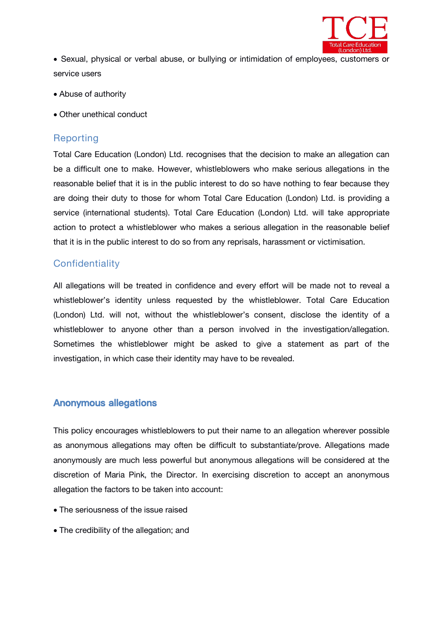

 Sexual, physical or verbal abuse, or bullying or intimidation of employees, customers or service users

- Abuse of authority
- Other unethical conduct

#### **Reporting**

Total Care Education (London) Ltd. recognises that the decision to make an allegation can be a difficult one to make. However, whistleblowers who make serious allegations in the reasonable belief that it is in the public interest to do so have nothing to fear because they are doing their duty to those for whom Total Care Education (London) Ltd. is providing a service (international students). Total Care Education (London) Ltd. will take appropriate action to protect a whistleblower who makes a serious allegation in the reasonable belief that it is in the public interest to do so from any reprisals, harassment or victimisation.

#### **Confidentiality**

All allegations will be treated in confidence and every effort will be made not to reveal a whistleblower's identity unless requested by the whistleblower. Total Care Education (London) Ltd. will not, without the whistleblower's consent, disclose the identity of a whistleblower to anyone other than a person involved in the investigation/allegation. Sometimes the whistleblower might be asked to give a statement as part of the investigation, in which case their identity may have to be revealed.

#### **Anonymous allegations**

This policy encourages whistleblowers to put their name to an allegation wherever possible as anonymous allegations may often be difficult to substantiate/prove. Allegations made anonymously are much less powerful but anonymous allegations will be considered at the discretion of *Maria Pink, the Director*. In exercising discretion to accept an anonymous allegation the factors to be taken into account:

- The seriousness of the issue raised
- The credibility of the allegation; and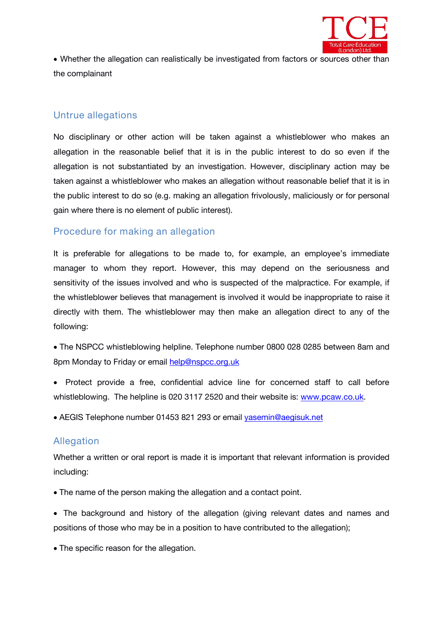

 Whether the allegation can realistically be investigated from factors or sources other than the complainant

#### **Untrue allegations**

No disciplinary or other action will be taken against a whistleblower who makes an allegation in the reasonable belief that it is in the public interest to do so even if the allegation is not substantiated by an investigation. However, disciplinary action may be taken against a whistleblower who makes an allegation without reasonable belief that it is in the public interest to do so (e.g. making an allegation frivolously, maliciously or for personal gain where there is no element of public interest).

#### **Procedure for making an allegation**

It is preferable for allegations to be made to, for example, an employee's immediate manager to whom they report. However, this may depend on the seriousness and sensitivity of the issues involved and who is suspected of the malpractice. For example, if the whistleblower believes that management is involved it would be inappropriate to raise it directly with them. The whistleblower may then make an allegation direct to any of the following:

- The NSPCC whistleblowing helpline. Telephone number 0800 028 0285 between 8am and 8pm Monday to Friday or email [help@nspcc.org.uk](about:blank)
- Protect provide a free, confidential advice line for concerned staff to call before whistleblowing. The helpline is 020 3117 2520 and their website is: [www.pcaw.co.uk.](http://www.pcaw.co.uk)

AEGIS Telephone number 01453 821 293 or email [yasemin@aegisuk.net](about:blank)

#### **Allegation**

Whether a written or oral report is made it is important that relevant information is provided including:

The name of the person making the allegation and a contact point.

• The background and history of the allegation (giving relevant dates and names and positions of those who may be in a position to have contributed to the allegation);

• The specific reason for the allegation.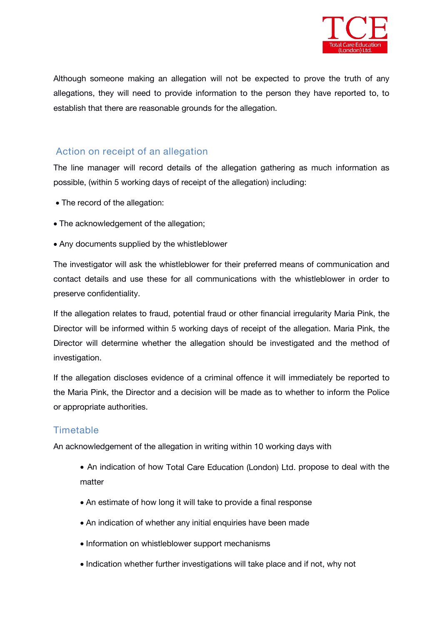

Although someone making an allegation will not be expected to prove the truth of any allegations, they will need to provide information to the person they have reported to, to establish that there are reasonable grounds for the allegation.

#### **Action on receipt of an allegation**

The line manager will record details of the allegation gathering as much information as possible, (within 5 working days of receipt of the allegation) including:

- The record of the allegation:
- The acknowledgement of the allegation;
- Any documents supplied by the whistleblower

The investigator will ask the whistleblower for their preferred means of communication and contact details and use these for all communications with the whistleblower in order to preserve confidentiality.

If the allegation relates to fraud, potential fraud or other financial irregularity Maria Pink, the Director will be informed within 5 working days of receipt of the allegation. Maria Pink, the Director will determine whether the allegation should be investigated and the method of investigation.

If the allegation discloses evidence of a criminal offence it willimmediately be reported to the Maria Pink, the Director and a decision will be made as to whether to inform the Police or appropriate authorities.

### **Timetable**

An acknowledgement of the allegation in writing within 10 working days with

- An indication of how *Total Care Education (London) Ltd.* propose to deal with the matter
- An estimate of how long it will take to provide a final response
- An indication of whether any initial enquiries have been made
- Information on whistleblower support mechanisms
- Indication whether further investigations will take place and if not, why not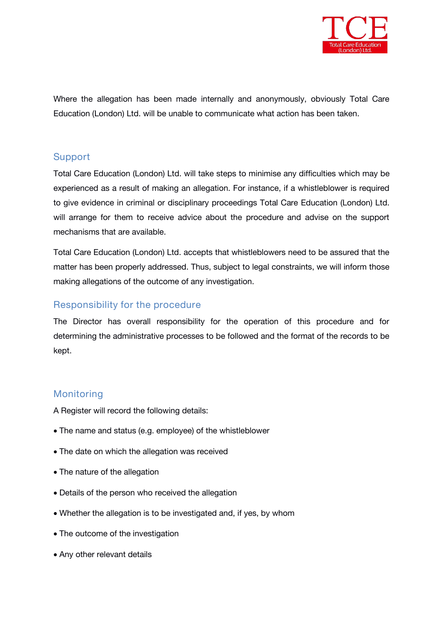

Where the allegation has been made internally and anonymously, obviously *Total Care Education (London) Ltd.* will be unable to communicate what action has been taken.

#### **Support**

*Total Care Education (London) Ltd.* will take steps to minimise any difficulties which may be experienced as a result of making an allegation. For instance, if a whistleblower is required to give evidence in criminal or disciplinary proceedings *Total Care Education (London) Ltd.* will arrange for them to receive advice about the procedure and advise on the support mechanisms that are available.

*Total Care Education (London) Ltd.* accepts that whistleblowers need to be assured that the matter has been properly addressed. Thus, subject to legal constraints, we will inform those making allegations of the outcome of any investigation.

#### **Responsibility for the procedure**

*The Director* has overall responsibility for the operation of this procedure and for determining the administrative processes to be followed and the format of the records to be kept.

#### **Monitoring**

A Register will record the following details:

- The name and status (e.g. employee) of the whistleblower
- The date on which the allegation was received
- The nature of the allegation
- Details of the person who received the allegation
- Whether the allegation is to be investigated and, if yes, by whom
- The outcome of the investigation
- Any other relevant details